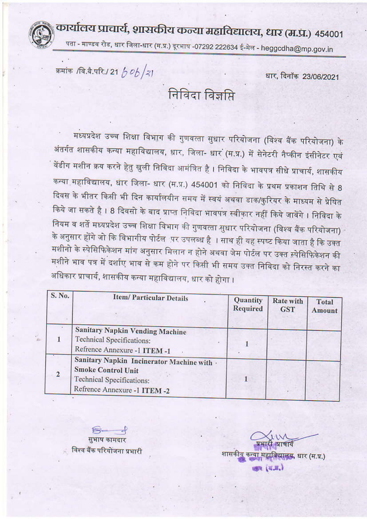## कार्यालय प्राचार्य, शासकीय कन्या महाविद्यालय, धार (म.प्र.) ४५४००१

पता - माण्डव रोड, धार जिला-धार (म.प्र.) दूरभाष -07292 222634 ई-मेल - heggcdha@mp.gov.in

क्रमांक /वि.बै.परि./ 21 *b 0b /२* ।

धार, दिनॉक 23/06/2021

निविदा विज्ञप्ति

मध्यप्रदेश उच्च शिक्षा विभाग की गुणवत्ता सुधार परियोजना (विश्व बैंक परियोजना) के अंतर्गत शासकीय कन्या महाविद्यालय, धार, जिला- धार (म.प्र.) में सेनेटरी नैप्कीन इंसीनेटर एवं वेंडीग मशीन क्रय करने हेतु खुली निविदा आमंत्रित है । निविदा के भावपत्र सीधे प्राचार्य, शासकीय कन्या महाविद्यालय, धार जिला- धार (म.प्र.) 454001 को निविदा के प्रथम प्रकाशन तिथि से 8 दिवस के भीतर किसी भी दिन कार्यालयीन समय में स्वयं अथवा डाक/कुरियर के माध्यम से प्रेषित किये जा सकते है । 8 दिवसो के बाद प्राप्त निविदा भावपत्र स्वीकार नहीं किये जावेंगे । निविदा के नियम व शर्ते मध्यप्रदेश उच्च शिक्षा विभाग की गुणवत्ता सुधार परियोजना (विश्व बैंक परियोजना) के अनुसार होंगे जो कि विभागीय पोर्टल .पर उपलब्ध है । साथ ही यह स्पष्ट किया जाता है कि उक्त मशीनो के स्पेसिफिकेशन मांग अनुसार मिलान न होने अथवा जेम पोर्टल पर उक्त स्पेसिफिकेशन की मशीने भाव पत्र में दर्शाए भाव से कम होने पर किसी भी समय उक्त निविदा को निरस्त करने का अधिकार प्राचार्य, शासकीय कन्या महाविद्यालय, धार को होगा ।

| S. No.         | <b>Item/Particular Details</b>                                                                                                              | Quantity<br>Required | <b>Rate with</b><br><b>GST</b> | <b>Total</b><br><b>Amount</b> |
|----------------|---------------------------------------------------------------------------------------------------------------------------------------------|----------------------|--------------------------------|-------------------------------|
|                | Sanitary Napkin Vending Machine<br><b>Technical Specifications:</b><br>Refrence Annexure -1 ITEM -1                                         |                      |                                |                               |
| $\overline{2}$ | Sanitary Napkin Incinerator Machine with .<br><b>Smoke Control Unit</b><br><b>Technical Specifications:</b><br>Refrence Annexure -1 ITEM -2 |                      |                                |                               |

सुभाष कामदार विश्व बैंक परियोजना प्रभारी

शासकीय कन्या महाविद्यालय, धार (म.प.) (4.3)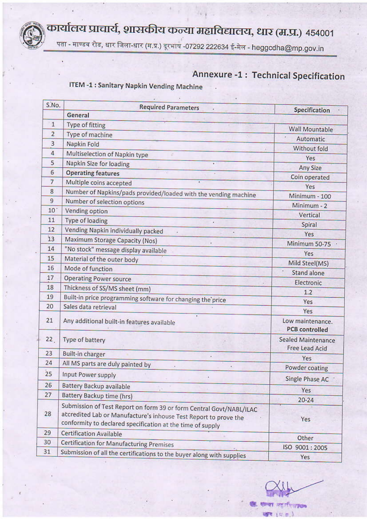कार्यालय प्राचार्य, शासकीय कन्या महाविद्यालय, धार (म.प्र.) ४५४००१



पता - माण्डव रोड, धार जिला-धार (म.प्र.) दूरभाष -07292 222634 ई-मेल - heggcdha@mp.gov.in

## **Annexure -1: Technical Specification**

**ITEM -1: Sanitary Napkin Vending Machine** 

| S.No.           | <b>Required Parameters</b><br>General                                                                                                                                                                 | Specification                               |  |
|-----------------|-------------------------------------------------------------------------------------------------------------------------------------------------------------------------------------------------------|---------------------------------------------|--|
| $\mathbf{1}$    | <b>Type of fitting</b>                                                                                                                                                                                |                                             |  |
| $\overline{a}$  | Type of machine                                                                                                                                                                                       | Wall Mountable                              |  |
| $\overline{3}$  | Napkin Fold                                                                                                                                                                                           | Automatic                                   |  |
| 4               |                                                                                                                                                                                                       | Without fold                                |  |
| 5               | Multiselection of Napkin type                                                                                                                                                                         | Yes                                         |  |
|                 | Napkin Size for loading                                                                                                                                                                               | <b>Any Size</b>                             |  |
| 6               | <b>Operating features</b>                                                                                                                                                                             | Coin operated                               |  |
| 7               | Multiple coins accepted<br>٠                                                                                                                                                                          | Yes                                         |  |
| 8               | Number of Napkins/pads provided/loaded with the vending machine                                                                                                                                       | Minimum - 100                               |  |
| 9               | Number of selection options                                                                                                                                                                           | Minimum - 2                                 |  |
| 10 <sup>°</sup> | Vending option                                                                                                                                                                                        | Vertical                                    |  |
| 11              | Type of loading                                                                                                                                                                                       | Spiral                                      |  |
| 12              | Vending Napkin individually packed                                                                                                                                                                    | Yes                                         |  |
| 13              | Maximum Storage Capacity (Nos)                                                                                                                                                                        | Minimum 50-75 ·                             |  |
| 14              | "No stock" message display available                                                                                                                                                                  | Yes                                         |  |
| 15              | Material of the outer body                                                                                                                                                                            | Mild Steel(MS)                              |  |
| 16              | Mode of function                                                                                                                                                                                      | <b>Stand alone</b>                          |  |
| 17              | <b>Operating Power source</b><br>$\mathcal{L}$ :                                                                                                                                                      | Electronic                                  |  |
| 18              | Thickness of SS/MS sheet (mm)                                                                                                                                                                         | 1.2                                         |  |
| 19              | Built-in price programming software for changing the price                                                                                                                                            | Yes                                         |  |
| 20              | Sales data retrieval                                                                                                                                                                                  | Yes                                         |  |
| 21              | Any additional built-in features available                                                                                                                                                            | Low maintenance.<br><b>PCB</b> controlled   |  |
| 22              | Type of battery                                                                                                                                                                                       | Sealed Maintenance<br><b>Free Lead Acid</b> |  |
| 23              | <b>Built-in charger</b>                                                                                                                                                                               | Yes                                         |  |
| 24              | All MS parts are duly painted by                                                                                                                                                                      | Powder coating                              |  |
| 25              | Input Power supply                                                                                                                                                                                    | Single Phase AC                             |  |
| 26              | Battery Backup available                                                                                                                                                                              | Yes                                         |  |
| 27              | Battery Backup time (hrs)                                                                                                                                                                             | $20 - 24$                                   |  |
| 28              | Submission of Test Report on form 39 or form Central Govt/NABL/ILAC<br>accredited Lab or Manufacture's inhouse Test Report to prove the<br>conformity to declared specification at the time of supply | Yes                                         |  |
| 29              | <b>Certification Available</b>                                                                                                                                                                        | Other                                       |  |
| 30              | <b>Certification for Manufacturing Premises</b>                                                                                                                                                       | ISO 9001:2005                               |  |
| 31              | Submission of all the certifications to the buyer along with supplies                                                                                                                                 | Yes                                         |  |